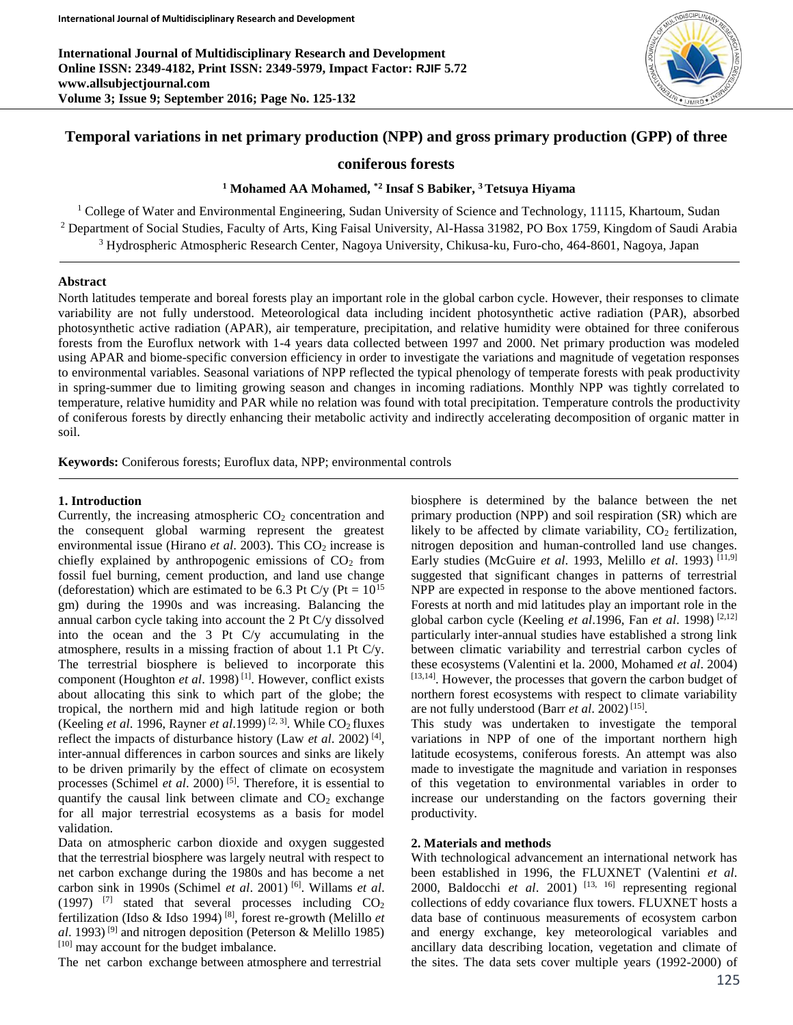**International Journal of Multidisciplinary Research and Development Online ISSN: 2349-4182, Print ISSN: 2349-5979, Impact Factor: RJIF 5.72 www.allsubjectjournal.com Volume 3; Issue 9; September 2016; Page No. 125-132**



# **Temporal variations in net primary production (NPP) and gross primary production (GPP) of three**

## **coniferous forests**

## **<sup>1</sup> Mohamed AA Mohamed, \*2 Insaf S Babiker, <sup>3</sup> Tetsuya Hiyama**

<sup>1</sup> College of Water and Environmental Engineering, Sudan University of Science and Technology, 11115, Khartoum, Sudan <sup>2</sup> Department of Social Studies, Faculty of Arts, King Faisal University, Al-Hassa 31982, PO Box 1759, Kingdom of Saudi Arabia <sup>3</sup> Hydrospheric Atmospheric Research Center, Nagoya University, Chikusa-ku, Furo-cho, 464-8601, Nagoya, Japan

### **Abstract**

North latitudes temperate and boreal forests play an important role in the global carbon cycle. However, their responses to climate variability are not fully understood. Meteorological data including incident photosynthetic active radiation (PAR), absorbed photosynthetic active radiation (APAR), air temperature, precipitation, and relative humidity were obtained for three coniferous forests from the Euroflux network with 1-4 years data collected between 1997 and 2000. Net primary production was modeled using APAR and biome-specific conversion efficiency in order to investigate the variations and magnitude of vegetation responses to environmental variables. Seasonal variations of NPP reflected the typical phenology of temperate forests with peak productivity in spring-summer due to limiting growing season and changes in incoming radiations. Monthly NPP was tightly correlated to temperature, relative humidity and PAR while no relation was found with total precipitation. Temperature controls the productivity of coniferous forests by directly enhancing their metabolic activity and indirectly accelerating decomposition of organic matter in soil.

**Keywords:** Coniferous forests; Euroflux data, NPP; environmental controls

### **1. Introduction**

Currently, the increasing atmospheric  $CO<sub>2</sub>$  concentration and the consequent global warming represent the greatest environmental issue (Hirano *et al.* 2003). This CO<sub>2</sub> increase is chiefly explained by anthropogenic emissions of  $CO<sub>2</sub>$  from fossil fuel burning, cement production, and land use change (deforestation) which are estimated to be 6.3 Pt C/y (Pt =  $10^{15}$ ) gm) during the 1990s and was increasing. Balancing the annual carbon cycle taking into account the 2 Pt C/y dissolved into the ocean and the 3 Pt C/y accumulating in the atmosphere, results in a missing fraction of about 1.1 Pt C/y. The terrestrial biosphere is believed to incorporate this component (Houghton *et al*. 1998) [1]. However, conflict exists about allocating this sink to which part of the globe; the tropical, the northern mid and high latitude region or both (Keeling *et al.* 1996, Rayner *et al.* 1999)<sup>[2, 3]</sup>. While  $CO<sub>2</sub>$  fluxes reflect the impacts of disturbance history (Law *et al*. 2002) [4] , inter-annual differences in carbon sources and sinks are likely to be driven primarily by the effect of climate on ecosystem processes (Schimel *et al.* 2000)<sup>[5]</sup>. Therefore, it is essential to quantify the causal link between climate and  $CO<sub>2</sub>$  exchange for all major terrestrial ecosystems as a basis for model validation.

Data on atmospheric carbon dioxide and oxygen suggested that the terrestrial biosphere was largely neutral with respect to net carbon exchange during the 1980s and has become a net carbon sink in 1990s (Schimel *et al*. 2001) [6]. Willams *et al*. (1997)  $[7]$  stated that several processes including  $CO<sub>2</sub>$ fertilization (Idso & Idso 1994) [8], forest re-growth (Melillo *et al*. 1993) [9] and nitrogen deposition (Peterson & Melillo 1985) [10] may account for the budget imbalance.

The net carbon exchange between atmosphere and terrestrial

biosphere is determined by the balance between the net primary production (NPP) and soil respiration (SR) which are likely to be affected by climate variability,  $CO<sub>2</sub>$  fertilization, nitrogen deposition and human-controlled land use changes. Early studies (McGuire *et al*. 1993, Melillo *et al*. 1993) [11,9] suggested that significant changes in patterns of terrestrial NPP are expected in response to the above mentioned factors. Forests at north and mid latitudes play an important role in the global carbon cycle (Keeling *et al*.1996, Fan *et al*. 1998) [2,12] particularly inter-annual studies have established a strong link between climatic variability and terrestrial carbon cycles of these ecosystems (Valentini et la. 2000, Mohamed *et al*. 2004) [13,14]. However, the processes that govern the carbon budget of northern forest ecosystems with respect to climate variability are not fully understood (Barr *et al.* 2002)<sup>[15]</sup>.

This study was undertaken to investigate the temporal variations in NPP of one of the important northern high latitude ecosystems, coniferous forests. An attempt was also made to investigate the magnitude and variation in responses of this vegetation to environmental variables in order to increase our understanding on the factors governing their productivity.

### **2. Materials and methods**

With technological advancement an international network has been established in 1996, the FLUXNET (Valentini *et al*. 2000, Baldocchi *et al*. 2001) [13, 16] representing regional collections of eddy covariance flux towers. FLUXNET hosts a data base of continuous measurements of ecosystem carbon and energy exchange, key meteorological variables and ancillary data describing location, vegetation and climate of the sites. The data sets cover multiple years (1992-2000) of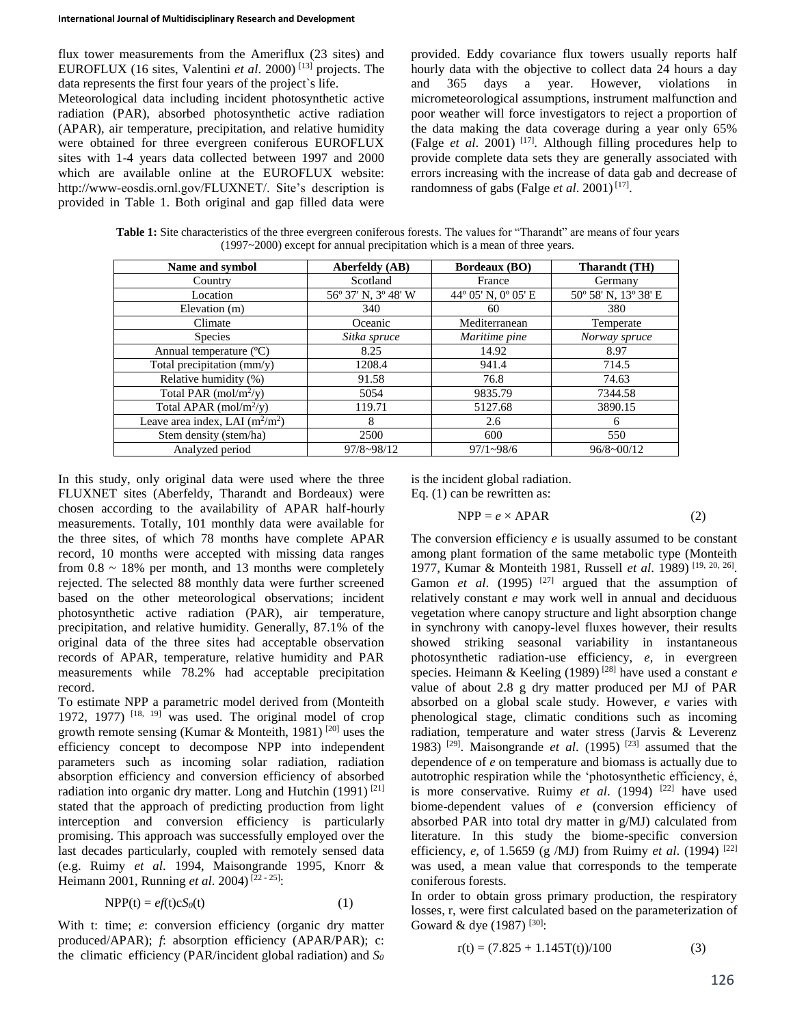flux tower measurements from the Ameriflux (23 sites) and EUROFLUX (16 sites, Valentini *et al*. 2000) [13] projects. The data represents the first four years of the project`s life.

Meteorological data including incident photosynthetic active radiation (PAR), absorbed photosynthetic active radiation (APAR), air temperature, precipitation, and relative humidity were obtained for three evergreen coniferous EUROFLUX sites with 1-4 years data collected between 1997 and 2000 which are available online at the EUROFLUX website: http://www-eosdis.ornl.gov/FLUXNET/. Site's description is provided in Table 1. Both original and gap filled data were provided. Eddy covariance flux towers usually reports half hourly data with the objective to collect data 24 hours a day and 365 days a year. However, violations in micrometeorological assumptions, instrument malfunction and poor weather will force investigators to reject a proportion of the data making the data coverage during a year only 65% (Falge *et al*. 2001) [17]. Although filling procedures help to provide complete data sets they are generally associated with errors increasing with the increase of data gab and decrease of randomness of gabs (Falge *et al.* 2001)<sup>[17]</sup>.

Table 1: Site characteristics of the three evergreen coniferous forests. The values for "Tharandt" are means of four years (1997~2000) except for annual precipitation which is a mean of three years.

| Name and symbol                    | Aberfeldy (AB)      | <b>Bordeaux (BO)</b> | Tharandt (TH)        |  |
|------------------------------------|---------------------|----------------------|----------------------|--|
| Country                            | Scotland            | France               | Germany              |  |
| Location                           | 56° 37' N, 3° 48' W | 44° 05' N, 0° 05' E  | 50° 58' N, 13° 38' E |  |
| Elevation (m)                      | 340                 | 60                   | 380                  |  |
| Climate                            | Oceanic             | Mediterranean        | Temperate            |  |
| <b>Species</b>                     | Sitka spruce        | Maritime pine        | Norway spruce        |  |
| Annual temperature (°C)            | 8.25                | 14.92                | 8.97                 |  |
| Total precipitation (mm/y)         | 1208.4              | 941.4                | 714.5                |  |
| Relative humidity (%)              | 91.58               | 76.8                 | 74.63                |  |
| Total PAR (mol/m <sup>2</sup> /y)  | 5054                | 9835.79              | 7344.58              |  |
| Total APAR (mol/m <sup>2</sup> /y) | 119.71              | 5127.68              | 3890.15              |  |
| Leave area index, LAI $(m^2/m^2)$  | 8                   | 2.6                  | 6                    |  |
| Stem density (stem/ha)             | 2500                | 600                  | 550                  |  |
| Analyzed period                    | $97/8 \sim 98/12$   | $97/1 - 98/6$        | $96/8 \sim 00/12$    |  |

In this study, only original data were used where the three FLUXNET sites (Aberfeldy, Tharandt and Bordeaux) were chosen according to the availability of APAR half-hourly measurements. Totally, 101 monthly data were available for the three sites, of which 78 months have complete APAR record, 10 months were accepted with missing data ranges from  $0.8 \sim 18\%$  per month, and 13 months were completely rejected. The selected 88 monthly data were further screened based on the other meteorological observations; incident photosynthetic active radiation (PAR), air temperature, precipitation, and relative humidity. Generally, 87.1% of the original data of the three sites had acceptable observation records of APAR, temperature, relative humidity and PAR measurements while 78.2% had acceptable precipitation record.

To estimate NPP a parametric model derived from (Monteith 1972, 1977)  $[18, 19]$  was used. The original model of crop growth remote sensing (Kumar & Monteith, 1981) [20] uses the efficiency concept to decompose NPP into independent parameters such as incoming solar radiation, radiation absorption efficiency and conversion efficiency of absorbed radiation into organic dry matter. Long and Hutchin  $(1991)$ <sup>[21]</sup> stated that the approach of predicting production from light interception and conversion efficiency is particularly promising. This approach was successfully employed over the last decades particularly, coupled with remotely sensed data (e.g. Ruimy *et al*. 1994, Maisongrande 1995, Knorr & Heimann 2001, Running *et al*. 2004) [22 - 25]:

$$
NPP(t) = ef(t)cS0(t)
$$
 (1)

With t: time; *e*: conversion efficiency (organic dry matter produced/APAR); *f*: absorption efficiency (APAR/PAR); c: the climatic efficiency (PAR/incident global radiation) and *S<sup>0</sup>*

is the incident global radiation. Eq. (1) can be rewritten as:

$$
NPP = e \times APAR
$$
 (2)

The conversion efficiency *e* is usually assumed to be constant among plant formation of the same metabolic type (Monteith 1977, Kumar & Monteith 1981, Russell *et al.* 1989)<sup>[19, 20, 26].</sup> Gamon *et al.* (1995) <sup>[27]</sup> argued that the assumption of relatively constant *e* may work well in annual and deciduous vegetation where canopy structure and light absorption change in synchrony with canopy-level fluxes however, their results showed striking seasonal variability in instantaneous photosynthetic radiation-use efficiency, *e*, in evergreen species. Heimann & Keeling (1989) [28] have used a constant *e* value of about 2.8 g dry matter produced per MJ of PAR absorbed on a global scale study. However, *e* varies with phenological stage, climatic conditions such as incoming radiation, temperature and water stress (Jarvis & Leverenz 1983) <sup>[29]</sup>. Maisongrande *et al.* (1995)<sup>[23]</sup> assumed that the dependence of *e* on temperature and biomass is actually due to autotrophic respiration while the 'photosynthetic efficiency, é, is more conservative. Ruimy *et al.* (1994) <sup>[22]</sup> have used biome-dependent values of *e* (conversion efficiency of absorbed PAR into total dry matter in g/MJ) calculated from literature. In this study the biome-specific conversion efficiency, *e*, of 1.5659 (g /MJ) from Ruimy *et al*. (1994) [22] was used, a mean value that corresponds to the temperate coniferous forests.

In order to obtain gross primary production, the respiratory losses, r, were first calculated based on the parameterization of Goward & dye (1987)<sup>[30]</sup>:

$$
r(t) = (7.825 + 1.145T(t))/100
$$
 (3)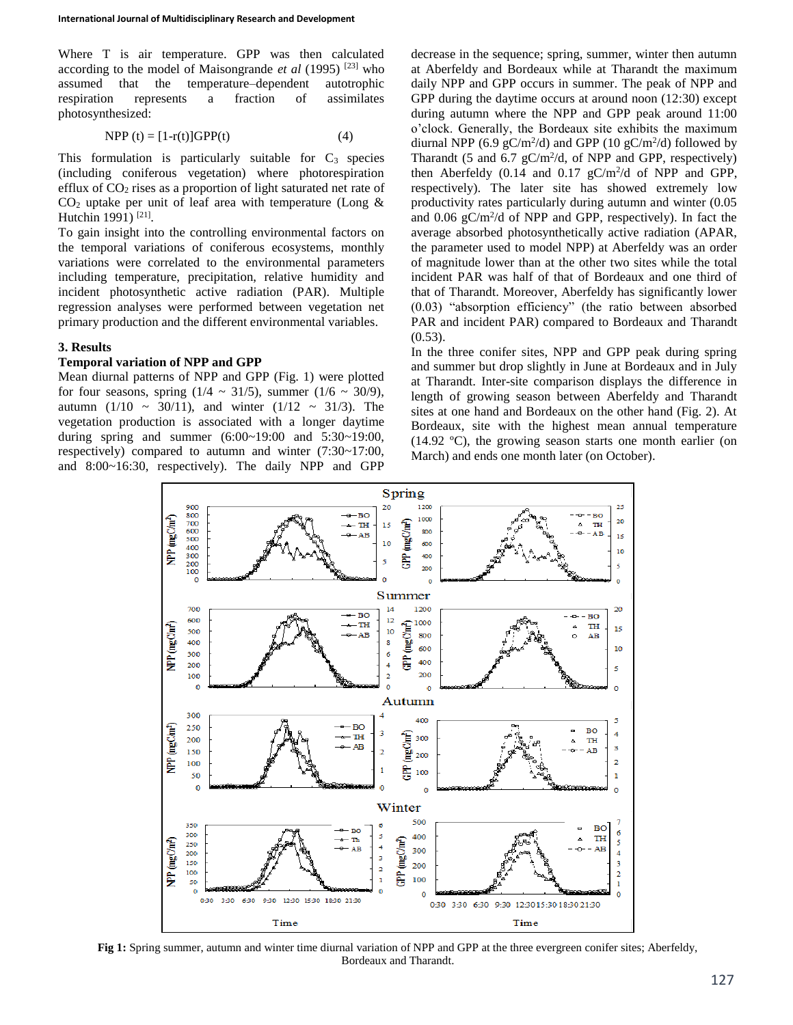Where T is air temperature. GPP was then calculated according to the model of Maisongrande *et al* (1995) [23] who assumed that the temperature–dependent autotrophic respiration represents a fraction of assimilates photosynthesized:

$$
NPP(t) = [1-r(t)]GPP(t)
$$
 (4)

This formulation is particularly suitable for  $C_3$  species (including coniferous vegetation) where photorespiration efflux of  $CO<sub>2</sub>$  rises as a proportion of light saturated net rate of  $CO<sub>2</sub>$  uptake per unit of leaf area with temperature (Long & Hutchin 1991)<sup>[21]</sup>.

To gain insight into the controlling environmental factors on the temporal variations of coniferous ecosystems, monthly variations were correlated to the environmental parameters including temperature, precipitation, relative humidity and incident photosynthetic active radiation (PAR). Multiple regression analyses were performed between vegetation net primary production and the different environmental variables.

#### **3. Results**

## **Temporal variation of NPP and GPP**

Mean diurnal patterns of NPP and GPP (Fig. 1) were plotted for four seasons, spring  $(1/4 \sim 31/5)$ , summer  $(1/6 \sim 30/9)$ , autumn (1/10 ~ 30/11), and winter (1/12 ~ 31/3). The vegetation production is associated with a longer daytime during spring and summer (6:00~19:00 and 5:30~19:00, respectively) compared to autumn and winter (7:30~17:00, and 8:00~16:30, respectively). The daily NPP and GPP

decrease in the sequence; spring, summer, winter then autumn at Aberfeldy and Bordeaux while at Tharandt the maximum daily NPP and GPP occurs in summer. The peak of NPP and GPP during the daytime occurs at around noon (12:30) except during autumn where the NPP and GPP peak around 11:00 o'clock. Generally, the Bordeaux site exhibits the maximum diurnal NPP (6.9  $gC/m^2/d$ ) and GPP (10  $gC/m^2/d$ ) followed by Tharandt (5 and 6.7  $gC/m^2/d$ , of NPP and GPP, respectively) then Aberfeldy  $(0.14 \text{ and } 0.17 \text{ gC/m}^2/\text{d of NPP and GPP},$ respectively). The later site has showed extremely low productivity rates particularly during autumn and winter (0.05 and  $0.06$   $gC/m^2/d$  of NPP and GPP, respectively). In fact the average absorbed photosynthetically active radiation (APAR, the parameter used to model NPP) at Aberfeldy was an order of magnitude lower than at the other two sites while the total incident PAR was half of that of Bordeaux and one third of that of Tharandt. Moreover, Aberfeldy has significantly lower (0.03) "absorption efficiency" (the ratio between absorbed PAR and incident PAR) compared to Bordeaux and Tharandt  $(0.53)$ .

In the three conifer sites, NPP and GPP peak during spring and summer but drop slightly in June at Bordeaux and in July at Tharandt. Inter-site comparison displays the difference in length of growing season between Aberfeldy and Tharandt sites at one hand and Bordeaux on the other hand (Fig. 2). At Bordeaux, site with the highest mean annual temperature (14.92 ºC), the growing season starts one month earlier (on March) and ends one month later (on October).



**Fig 1:** Spring summer, autumn and winter time diurnal variation of NPP and GPP at the three evergreen conifer sites; Aberfeldy, Bordeaux and Tharandt.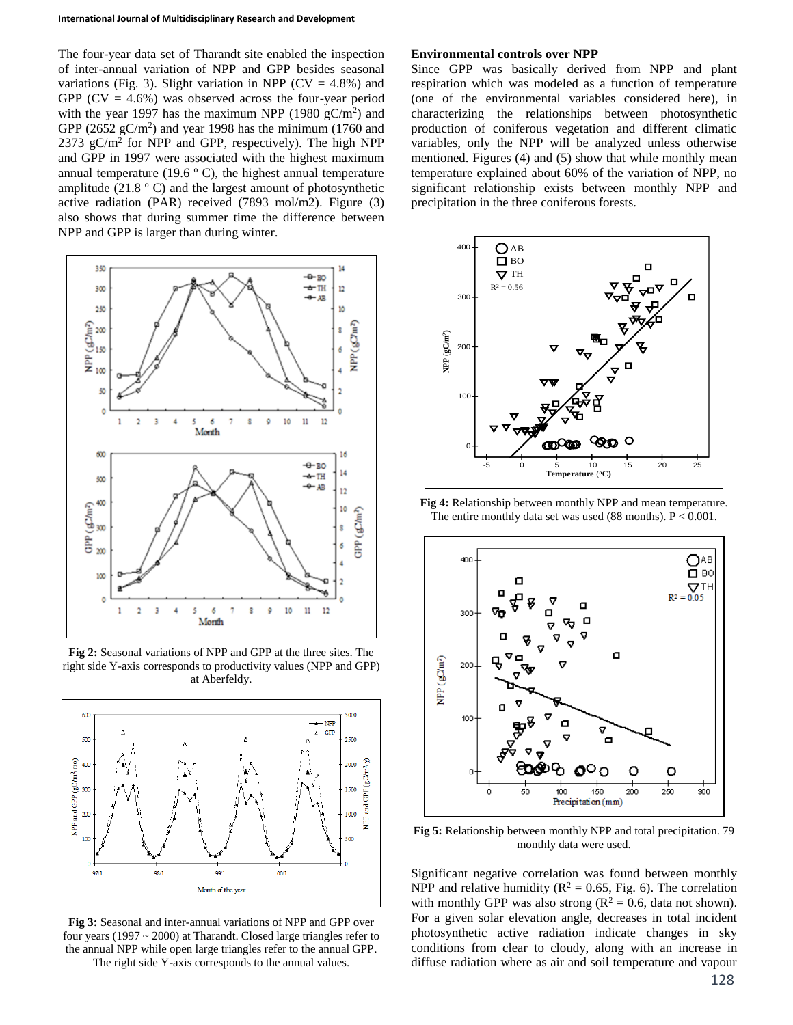The four-year data set of Tharandt site enabled the inspection of inter-annual variation of NPP and GPP besides seasonal variations (Fig. 3). Slight variation in NPP ( $CV = 4.8\%$ ) and GPP  $(CV = 4.6\%)$  was observed across the four-year period with the year 1997 has the maximum NPP (1980  $gC/m<sup>2</sup>$ ) and GPP  $(2652 \text{ gC/m}^2)$  and year 1998 has the minimum  $(1760 \text{ and }$ 2373 gC/m<sup>2</sup> for NPP and GPP, respectively). The high NPP and GPP in 1997 were associated with the highest maximum annual temperature (19.6  $\degree$  C), the highest annual temperature amplitude (21.8 º C) and the largest amount of photosynthetic active radiation (PAR) received (7893 mol/m2). Figure (3) also shows that during summer time the difference between NPP and GPP is larger than during winter.



**Fig 2:** Seasonal variations of NPP and GPP at the three sites. The right side Y-axis corresponds to productivity values (NPP and GPP) at Aberfeldy.



**Fig 3:** Seasonal and inter-annual variations of NPP and GPP over four years (1997 ~ 2000) at Tharandt. Closed large triangles refer to the annual NPP while open large triangles refer to the annual GPP.

The right side Y-axis corresponds to the annual values.

#### **Environmental controls over NPP**

Since GPP was basically derived from NPP and plant respiration which was modeled as a function of temperature (one of the environmental variables considered here), in characterizing the relationships between photosynthetic production of coniferous vegetation and different climatic variables, only the NPP will be analyzed unless otherwise mentioned. Figures (4) and (5) show that while monthly mean temperature explained about 60% of the variation of NPP, no significant relationship exists between monthly NPP and precipitation in the three coniferous forests.



**Fig 4:** Relationship between monthly NPP and mean temperature. The entire monthly data set was used (88 months). P < 0.001.



**Fig 5:** Relationship between monthly NPP and total precipitation. 79 monthly data were used.

Significant negative correlation was found between monthly NPP and relative humidity ( $R^2 = 0.65$ , Fig. 6). The correlation with monthly GPP was also strong ( $\mathbb{R}^2 = 0.6$ , data not shown). For a given solar elevation angle, decreases in total incident photosynthetic active radiation indicate changes in sky conditions from clear to cloudy, along with an increase in diffuse radiation where as air and soil temperature and vapour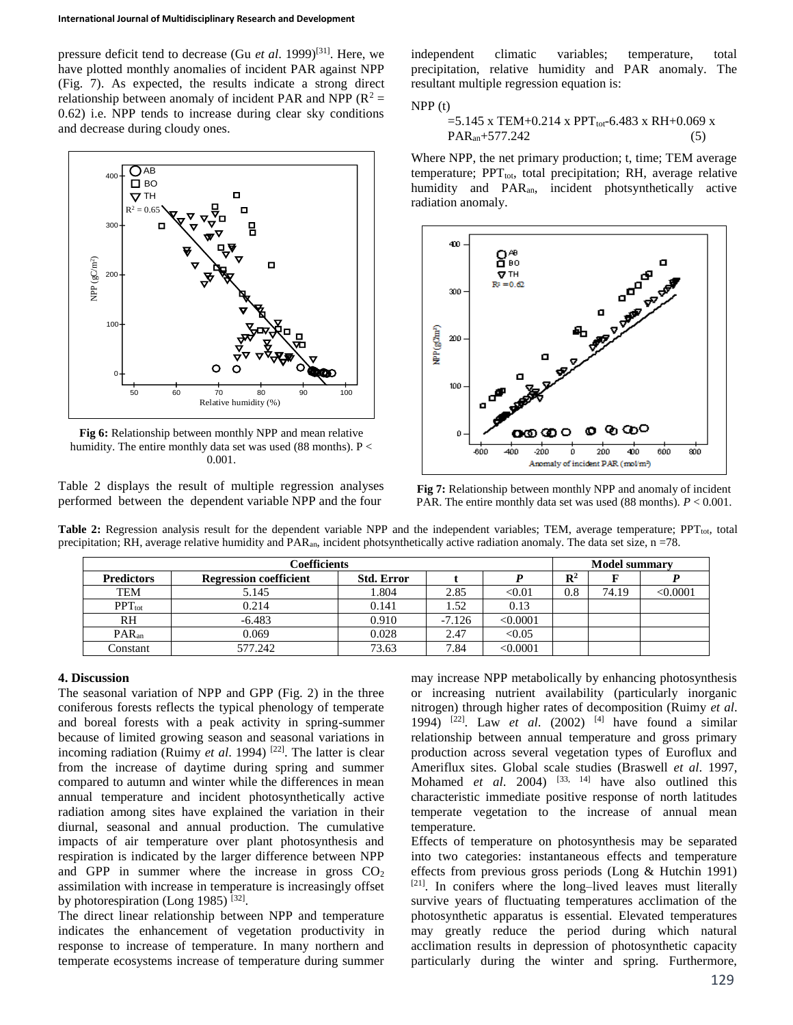pressure deficit tend to decrease (Gu *et al*. 1999)[31]. Here, we have plotted monthly anomalies of incident PAR against NPP (Fig. 7). As expected, the results indicate a strong direct relationship between anomaly of incident PAR and NPP ( $R^2$  = 0.62) i.e. NPP tends to increase during clear sky conditions and decrease during cloudy ones.



**Fig 6:** Relationship between monthly NPP and mean relative humidity. The entire monthly data set was used (88 months). P < 0.001.

Table 2 displays the result of multiple regression analyses performed between the dependent variable NPP and the four

independent climatic variables; temperature, total precipitation, relative humidity and PAR anomaly. The resultant multiple regression equation is:

NPP (t)

$$
=5.145 \text{ x TEM}+0.214 \text{ x PPT}_{\text{tot}}-6.483 \text{ x RH}+0.069 \text{ x}
$$
  
PAR<sub>an</sub>+577.242 (5)

Where NPP, the net primary production; t, time; TEM average temperature;  $PPT_{tot}$ , total precipitation; RH, average relative humidity and PARan, incident photsynthetically active radiation anomaly.



**Fig 7:** Relationship between monthly NPP and anomaly of incident PAR. The entire monthly data set was used (88 months). *P* < 0.001.

**Table 2:** Regression analysis result for the dependent variable NPP and the independent variables; TEM, average temperature; PPT<sub>tot</sub>, total precipitation; RH, average relative humidity and  $PAR_{an}$ , incident photsynthetically active radiation anomaly. The data set size,  $n = 78$ .

| <b>Coefficients</b> |                               |                   |          |          | <b>Model summary</b> |       |          |
|---------------------|-------------------------------|-------------------|----------|----------|----------------------|-------|----------|
| <b>Predictors</b>   | <b>Regression coefficient</b> | <b>Std. Error</b> |          |          | $\mathbf{R}^2$       |       |          |
| <b>TEM</b>          | 5.145                         | 1.804             | 2.85     | < 0.01   | $\rm 0.8$            | 74.19 | < 0.0001 |
| $PPT_{tot}$         | 0.214                         | 0.141             | 1.52     | 0.13     |                      |       |          |
| RH                  | $-6.483$                      | 0.910             | $-7.126$ | < 0.0001 |                      |       |          |
| PAR <sub>an</sub>   | 0.069                         | 0.028             | 2.47     | < 0.05   |                      |       |          |
| Constant            | 577.242                       | 73.63             | 7.84     | < 0.0001 |                      |       |          |

#### **4. Discussion**

The seasonal variation of NPP and GPP (Fig. 2) in the three coniferous forests reflects the typical phenology of temperate and boreal forests with a peak activity in spring-summer because of limited growing season and seasonal variations in incoming radiation (Ruimy *et al.* 1994)<sup>[22]</sup>. The latter is clear from the increase of daytime during spring and summer compared to autumn and winter while the differences in mean annual temperature and incident photosynthetically active radiation among sites have explained the variation in their diurnal, seasonal and annual production. The cumulative impacts of air temperature over plant photosynthesis and respiration is indicated by the larger difference between NPP and GPP in summer where the increase in gross  $CO<sub>2</sub>$ assimilation with increase in temperature is increasingly offset by photorespiration (Long 1985)  $^{[32]}$ .

The direct linear relationship between NPP and temperature indicates the enhancement of vegetation productivity in response to increase of temperature. In many northern and temperate ecosystems increase of temperature during summer may increase NPP metabolically by enhancing photosynthesis or increasing nutrient availability (particularly inorganic nitrogen) through higher rates of decomposition (Ruimy *et al*. 1994) [22]. Law *et al*. (2002) [4] have found a similar relationship between annual temperature and gross primary production across several vegetation types of Euroflux and Ameriflux sites. Global scale studies (Braswell *et al*. 1997, Mohamed *et al.* 2004) <sup>[33, 14]</sup> have also outlined this characteristic immediate positive response of north latitudes temperate vegetation to the increase of annual mean temperature.

Effects of temperature on photosynthesis may be separated into two categories: instantaneous effects and temperature effects from previous gross periods (Long & Hutchin 1991) [21]. In conifers where the long–lived leaves must literally survive years of fluctuating temperatures acclimation of the photosynthetic apparatus is essential. Elevated temperatures may greatly reduce the period during which natural acclimation results in depression of photosynthetic capacity particularly during the winter and spring. Furthermore,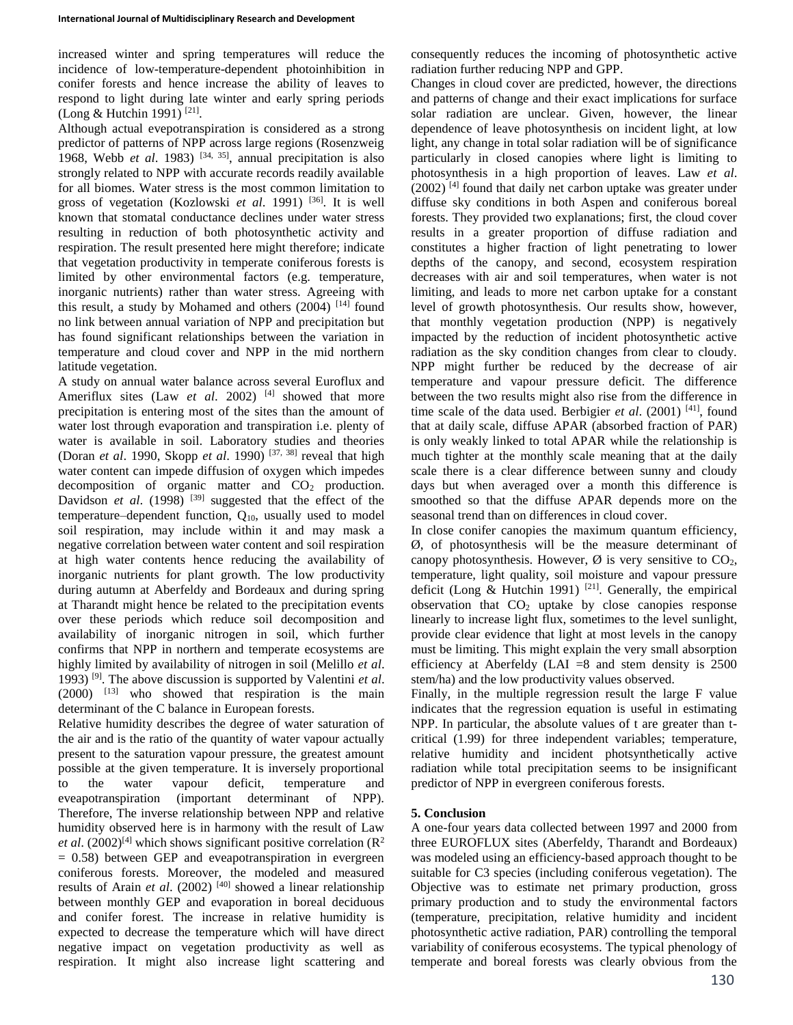increased winter and spring temperatures will reduce the incidence of low-temperature-dependent photoinhibition in conifer forests and hence increase the ability of leaves to respond to light during late winter and early spring periods (Long & Hutchin 1991)<sup>[21]</sup>.

Although actual evepotranspiration is considered as a strong predictor of patterns of NPP across large regions (Rosenzweig 1968, Webb *et al.* 1983)<sup>[34, 35]</sup>, annual precipitation is also strongly related to NPP with accurate records readily available for all biomes. Water stress is the most common limitation to gross of vegetation (Kozlowski *et al*. 1991) [36]. It is well known that stomatal conductance declines under water stress resulting in reduction of both photosynthetic activity and respiration. The result presented here might therefore; indicate that vegetation productivity in temperate coniferous forests is limited by other environmental factors (e.g. temperature, inorganic nutrients) rather than water stress. Agreeing with this result, a study by Mohamed and others  $(2004)$ <sup>[14]</sup> found no link between annual variation of NPP and precipitation but has found significant relationships between the variation in temperature and cloud cover and NPP in the mid northern latitude vegetation.

A study on annual water balance across several Euroflux and Ameriflux sites (Law *et al.* 2002)<sup>[4]</sup> showed that more precipitation is entering most of the sites than the amount of water lost through evaporation and transpiration i.e. plenty of water is available in soil. Laboratory studies and theories (Doran *et al*. 1990, Skopp *et al*. 1990) [37, 38] reveal that high water content can impede diffusion of oxygen which impedes decomposition of organic matter and  $CO<sub>2</sub>$  production. Davidson *et al.* (1998)<sup>[39]</sup> suggested that the effect of the temperature–dependent function,  $Q_{10}$ , usually used to model soil respiration, may include within it and may mask a negative correlation between water content and soil respiration at high water contents hence reducing the availability of inorganic nutrients for plant growth. The low productivity during autumn at Aberfeldy and Bordeaux and during spring at Tharandt might hence be related to the precipitation events over these periods which reduce soil decomposition and availability of inorganic nitrogen in soil, which further confirms that NPP in northern and temperate ecosystems are highly limited by availability of nitrogen in soil (Melillo *et al*. 1993) [9]. The above discussion is supported by Valentini *et al*.  $(2000)$  <sup>[13]</sup> who showed that respiration is the main determinant of the C balance in European forests.

Relative humidity describes the degree of water saturation of the air and is the ratio of the quantity of water vapour actually present to the saturation vapour pressure, the greatest amount possible at the given temperature. It is inversely proportional to the water vapour deficit, temperature and eveapotranspiration (important determinant of NPP). Therefore, The inverse relationship between NPP and relative humidity observed here is in harmony with the result of Law *et al.* (2002)<sup>[4]</sup> which shows significant positive correlation ( $\mathbb{R}^2$ )  $= 0.58$ ) between GEP and eveapotranspiration in evergreen coniferous forests. Moreover, the modeled and measured results of Arain *et al.* (2002)<sup>[40]</sup> showed a linear relationship between monthly GEP and evaporation in boreal deciduous and conifer forest. The increase in relative humidity is expected to decrease the temperature which will have direct negative impact on vegetation productivity as well as respiration. It might also increase light scattering and

consequently reduces the incoming of photosynthetic active radiation further reducing NPP and GPP.

Changes in cloud cover are predicted, however, the directions and patterns of change and their exact implications for surface solar radiation are unclear. Given, however, the linear dependence of leave photosynthesis on incident light, at low light, any change in total solar radiation will be of significance particularly in closed canopies where light is limiting to photosynthesis in a high proportion of leaves. Law *et al*. (2002) [4] found that daily net carbon uptake was greater under diffuse sky conditions in both Aspen and coniferous boreal forests. They provided two explanations; first, the cloud cover results in a greater proportion of diffuse radiation and constitutes a higher fraction of light penetrating to lower depths of the canopy, and second, ecosystem respiration decreases with air and soil temperatures, when water is not limiting, and leads to more net carbon uptake for a constant level of growth photosynthesis. Our results show, however, that monthly vegetation production (NPP) is negatively impacted by the reduction of incident photosynthetic active radiation as the sky condition changes from clear to cloudy. NPP might further be reduced by the decrease of air temperature and vapour pressure deficit. The difference between the two results might also rise from the difference in time scale of the data used. Berbigier *et al.* (2001) <sup>[41]</sup>, found that at daily scale, diffuse APAR (absorbed fraction of PAR) is only weakly linked to total APAR while the relationship is much tighter at the monthly scale meaning that at the daily scale there is a clear difference between sunny and cloudy days but when averaged over a month this difference is smoothed so that the diffuse APAR depends more on the seasonal trend than on differences in cloud cover.

In close conifer canopies the maximum quantum efficiency, Ø, of photosynthesis will be the measure determinant of canopy photosynthesis. However,  $\emptyset$  is very sensitive to CO<sub>2</sub>, temperature, light quality, soil moisture and vapour pressure deficit (Long  $\&$  Hutchin 1991)<sup>[21]</sup>. Generally, the empirical observation that  $CO<sub>2</sub>$  uptake by close canopies response linearly to increase light flux, sometimes to the level sunlight, provide clear evidence that light at most levels in the canopy must be limiting. This might explain the very small absorption efficiency at Aberfeldy (LAI  $=8$  and stem density is 2500 stem/ha) and the low productivity values observed.

Finally, in the multiple regression result the large F value indicates that the regression equation is useful in estimating NPP. In particular, the absolute values of t are greater than tcritical (1.99) for three independent variables; temperature, relative humidity and incident photsynthetically active radiation while total precipitation seems to be insignificant predictor of NPP in evergreen coniferous forests.

## **5. Conclusion**

A one-four years data collected between 1997 and 2000 from three EUROFLUX sites (Aberfeldy, Tharandt and Bordeaux) was modeled using an efficiency-based approach thought to be suitable for C3 species (including coniferous vegetation). The Objective was to estimate net primary production, gross primary production and to study the environmental factors (temperature, precipitation, relative humidity and incident photosynthetic active radiation, PAR) controlling the temporal variability of coniferous ecosystems. The typical phenology of temperate and boreal forests was clearly obvious from the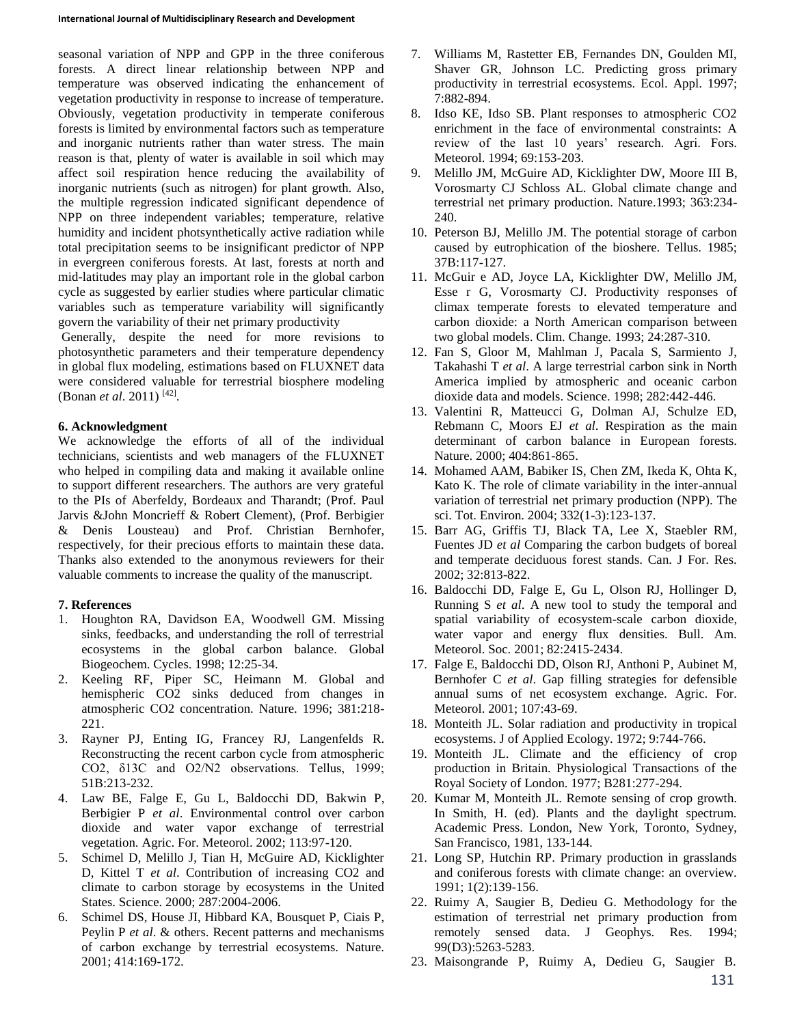seasonal variation of NPP and GPP in the three coniferous forests. A direct linear relationship between NPP and temperature was observed indicating the enhancement of vegetation productivity in response to increase of temperature. Obviously, vegetation productivity in temperate coniferous forests is limited by environmental factors such as temperature and inorganic nutrients rather than water stress. The main reason is that, plenty of water is available in soil which may affect soil respiration hence reducing the availability of inorganic nutrients (such as nitrogen) for plant growth. Also, the multiple regression indicated significant dependence of NPP on three independent variables; temperature, relative humidity and incident photsynthetically active radiation while total precipitation seems to be insignificant predictor of NPP in evergreen coniferous forests. At last, forests at north and mid-latitudes may play an important role in the global carbon cycle as suggested by earlier studies where particular climatic variables such as temperature variability will significantly govern the variability of their net primary productivity

Generally, despite the need for more revisions to photosynthetic parameters and their temperature dependency in global flux modeling, estimations based on FLUXNET data were considered valuable for terrestrial biosphere modeling (Bonan *et al.* 2011)<sup>[42]</sup>.

## **6. Acknowledgment**

We acknowledge the efforts of all of the individual technicians, scientists and web managers of the FLUXNET who helped in compiling data and making it available online to support different researchers. The authors are very grateful to the PIs of Aberfeldy, Bordeaux and Tharandt; (Prof. Paul Jarvis &John Moncrieff & Robert Clement), (Prof. Berbigier & Denis Lousteau) and Prof. Christian Bernhofer, respectively, for their precious efforts to maintain these data. Thanks also extended to the anonymous reviewers for their valuable comments to increase the quality of the manuscript.

### **7. References**

- 1. Houghton RA, Davidson EA, Woodwell GM. Missing sinks, feedbacks, and understanding the roll of terrestrial ecosystems in the global carbon balance. Global Biogeochem. Cycles. 1998; 12:25-34.
- 2. Keeling RF, Piper SC, Heimann M. Global and hemispheric CO2 sinks deduced from changes in atmospheric CO2 concentration. Nature. 1996; 381:218- 221.
- 3. Rayner PJ, Enting IG, Francey RJ, Langenfelds R. Reconstructing the recent carbon cycle from atmospheric CO2, δ13C and O2/N2 observations. Tellus, 1999; 51B:213-232.
- 4. Law BE, Falge E, Gu L, Baldocchi DD, Bakwin P, Berbigier P *et al*. Environmental control over carbon dioxide and water vapor exchange of terrestrial vegetation. Agric. For. Meteorol. 2002; 113:97-120.
- 5. Schimel D, Melillo J, Tian H, McGuire AD, Kicklighter D, Kittel T *et al*. Contribution of increasing CO2 and climate to carbon storage by ecosystems in the United States. Science. 2000; 287:2004-2006.
- 6. Schimel DS, House JI, Hibbard KA, Bousquet P, Ciais P, Peylin P *et al*. & others. Recent patterns and mechanisms of carbon exchange by terrestrial ecosystems. Nature. 2001; 414:169-172.
- 7. Williams M, Rastetter EB, Fernandes DN, Goulden MI, Shaver GR, Johnson LC. Predicting gross primary productivity in terrestrial ecosystems. Ecol. Appl. 1997; 7:882-894.
- 8. Idso KE, Idso SB. Plant responses to atmospheric CO2 enrichment in the face of environmental constraints: A review of the last 10 years' research. Agri. Fors. Meteorol. 1994; 69:153-203.
- 9. Melillo JM, McGuire AD, Kicklighter DW, Moore III B, Vorosmarty CJ Schloss AL. Global climate change and terrestrial net primary production. Nature.1993; 363:234- 240.
- 10. Peterson BJ, Melillo JM. The potential storage of carbon caused by eutrophication of the bioshere. Tellus. 1985; 37B:117-127.
- 11. McGuir e AD, Joyce LA, Kicklighter DW, Melillo JM, Esse r G, Vorosmarty CJ. Productivity responses of climax temperate forests to elevated temperature and carbon dioxide: a North American comparison between two global models. Clim. Change. 1993; 24:287-310.
- 12. Fan S, Gloor M, Mahlman J, Pacala S, Sarmiento J, Takahashi T *et al*. A large terrestrial carbon sink in North America implied by atmospheric and oceanic carbon dioxide data and models. Science. 1998; 282:442-446.
- 13. Valentini R, Matteucci G, Dolman AJ, Schulze ED, Rebmann C, Moors EJ *et al*. Respiration as the main determinant of carbon balance in European forests. Nature. 2000; 404:861-865.
- 14. Mohamed AAM, Babiker IS, Chen ZM, Ikeda K, Ohta K, Kato K. The role of climate variability in the inter-annual variation of terrestrial net primary production (NPP). The sci. Tot. Environ. 2004; 332(1-3):123-137.
- 15. Barr AG, Griffis TJ, Black TA, Lee X, Staebler RM, Fuentes JD *et al* Comparing the carbon budgets of boreal and temperate deciduous forest stands. Can. J For. Res. 2002; 32:813-822.
- 16. Baldocchi DD, Falge E, Gu L, Olson RJ, Hollinger D, Running S *et al*. A new tool to study the temporal and spatial variability of ecosystem-scale carbon dioxide, water vapor and energy flux densities. Bull. Am. Meteorol. Soc. 2001; 82:2415-2434.
- 17. Falge E, Baldocchi DD, Olson RJ, Anthoni P, Aubinet M, Bernhofer C *et al*. Gap filling strategies for defensible annual sums of net ecosystem exchange. Agric. For. Meteorol. 2001; 107:43-69.
- 18. Monteith JL. Solar radiation and productivity in tropical ecosystems. J of Applied Ecology. 1972; 9:744-766.
- 19. Monteith JL. Climate and the efficiency of crop production in Britain. Physiological Transactions of the Royal Society of London. 1977; B281:277-294.
- 20. Kumar M, Monteith JL. Remote sensing of crop growth. In Smith, H. (ed). Plants and the daylight spectrum. Academic Press. London, New York, Toronto, Sydney, San Francisco, 1981, 133-144.
- 21. Long SP, Hutchin RP. Primary production in grasslands and coniferous forests with climate change: an overview. 1991; 1(2):139-156.
- 22. Ruimy A, Saugier B, Dedieu G. Methodology for the estimation of terrestrial net primary production from remotely sensed data. J Geophys. Res. 1994; 99(D3):5263-5283.
- 23. Maisongrande P, Ruimy A, Dedieu G, Saugier B.